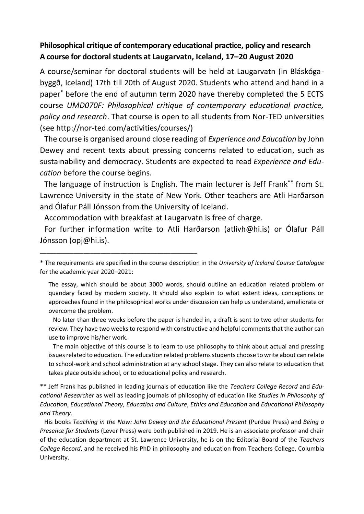## **Philosophical critique of contemporary educational practice, policy and research A course for doctoralstudents at Laugarvatn, Iceland, 17–20 August 2020**

A course/seminar for doctoral students will be held at Laugarvatn (in Bláskógabyggð, Iceland) 17th till 20th of August 2020. Students who attend and hand in a paper\* before the end of autumn term 2020 have thereby completed the 5 ECTS course *UMD070F: Philosophical critique of contemporary educational practice, policy and research*. That course is open to all students from Nor-TED universities (see http://nor-ted.com/activities/courses/)

The course is organised around close reading of *Experience and Education* by John Dewey and recent texts about pressing concerns related to education, such as sustainability and democracy. Students are expected to read *Experience and Education* before the course begins.

The language of instruction is English. The main lecturer is Jeff Frank\*\* from St. Lawrence University in the state of New York. Other teachers are Atli Harðarson and Ólafur Páll Jónsson from the University of Iceland.

Accommodation with breakfast at Laugarvatn is free of charge.

\_\_\_\_\_\_\_\_\_\_\_\_\_\_\_\_\_\_\_\_\_\_\_\_\_\_\_\_\_\_\_\_\_\_\_\_\_\_\_\_\_\_\_\_\_\_\_

For further information write to Atli Harðarson (atlivh@hi.is) or Ólafur Páll Jónsson (opj@hi.is).

No later than three weeks before the paper is handed in, a draft is sent to two other students for review. They have two weeks to respond with constructive and helpful comments that the author can use to improve his/her work.

The main objective of this course is to learn to use philosophy to think about actual and pressing issues related to education. The education related problems students choose to write about can relate to school-work and school administration at any school stage. They can also relate to education that takes place outside school, or to educational policy and research.

\*\* Jeff Frank has published in leading journals of education like the *Teachers College Record* and *Educational Researcher* as well as leading journals of philosophy of education like *Studies in Philosophy of Education*, *Educational Theory*, *Education and Culture*, *Ethics and Education* and *Educational Philosophy and Theory*.

His books *Teaching in the Now: John Dewey and the Educational Present* (Purdue Press) and *Being a Presence for Students* (Lever Press) were both published in 2019. He is an associate professor and chair of the education department at St. Lawrence University, he is on the Editorial Board of the *Teachers College Record*, and he received his PhD in philosophy and education from Teachers College, Columbia University.

<sup>\*</sup> The requirements are specified in the course description in the *University of Iceland Course Catalogue* for the academic year 2020–2021:

The essay, which should be about 3000 words, should outline an education related problem or quandary faced by modern society. It should also explain to what extent ideas, conceptions or approaches found in the philosophical works under discussion can help us understand, ameliorate or overcome the problem.